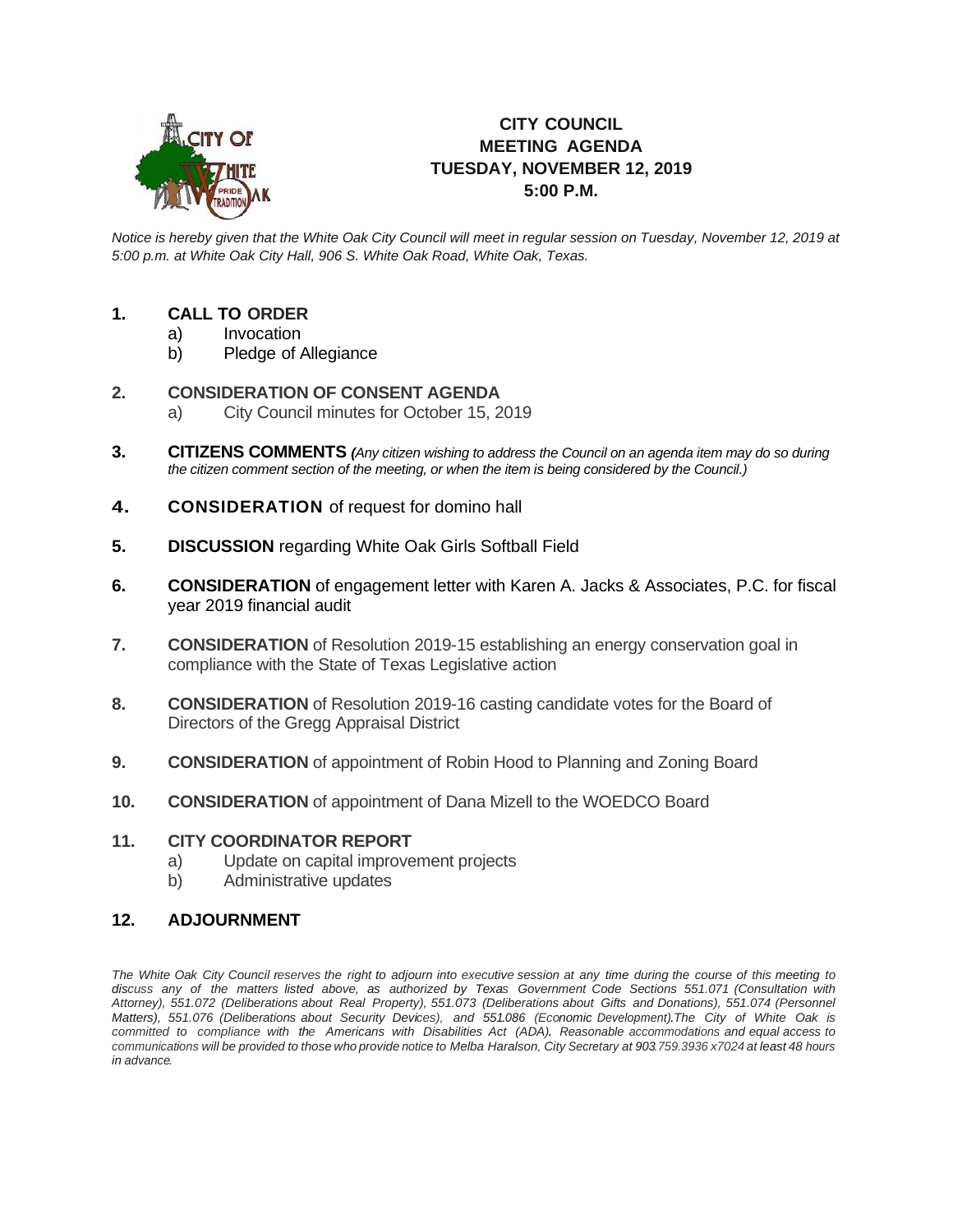

# **CITY COUNCIL MEETING AGENDA TUESDAY, NOVEMBER 12, 2019 5:00 P.M.**

*Notice is hereby given that the White Oak City Council will meet in regular session on Tuesday, November 12, 2019 at 5:00 p.m. at White Oak City Hall, 906 S. White Oak Road, White Oak, Texas.*

## **1. CALL TO ORDER**

- a) Invocation
- b) Pledge of Allegiance

## **2. CONSIDERATION OF CONSENT AGENDA**

- a) City Council minutes for October 15, 2019
- **3. CITIZENS COMMENTS** *(Any citizen wishing to address the Council on an agenda item may do so during the citizen comment section of the meeting, or when the item is being considered by the Council.)*
- **4. CONSIDERATION** of request for domino hall
- **5. DISCUSSION** regarding White Oak Girls Softball Field
- **6. CONSIDERATION** of engagement letter with Karen A. Jacks & Associates, P.C. for fiscal year 2019 financial audit
- **7. CONSIDERATION** of Resolution 2019-15 establishing an energy conservation goal in compliance with the State of Texas Legislative action
- **8. CONSIDERATION** of Resolution 2019-16 casting candidate votes for the Board of Directors of the Gregg Appraisal District
- **9. CONSIDERATION** of appointment of Robin Hood to Planning and Zoning Board
- **10. CONSIDERATION** of appointment of Dana Mizell to the WOEDCO Board

### **11. CITY COORDINATOR REPORT**

- a) Update on capital improvement projects
- b) Administrative updates

#### **12. ADJOURNMENT**

The White Oak City Council reserves the right to adjourn into executive session at any time during the course of this meeting to discuss any of the matters listed above, as authorized by Texas Government Code Sections 551.071 (Consultation with *Attorney), 551.072 (Deliberations about Real Property), 551.073 (Deliberations about Gifts and Donations), 551.074 (Personnel Matters), 551.076 (Deliberations about Security Devices), and 551.086 (Economic Development).The City of White Oak is committed to compliance with the Americans with Disabilities Act (ADA). Reasonable accommodations and equal access to* communications will be provided to those who provide notice to Melba Haralson, City Secretary at 903.759.3936 x7024 at least 48 hours *in advance.*